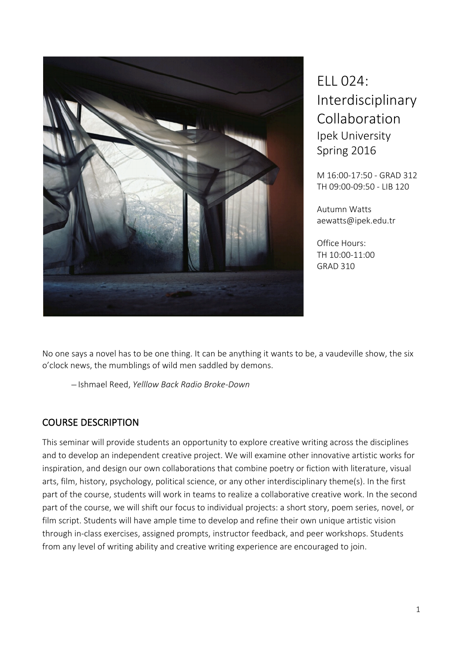

ELL 024: Interdisciplinary Collaboration Ipek University Spring 2016

M 16:00-17:50 - GRAD 312 TH 09:00-09:50 - LIB 120

Autumn Watts aewatts@ipek.edu.tr

Office Hours: TH 10:00-11:00 GRAD 310

No one says a novel has to be one thing. It can be anything it wants to be, a vaudeville show, the six o'clock news, the mumblings of wild men saddled by demons.

̶ Ishmael Reed, *Yelllow Back Radio Broke-Down*

## COURSE DESCRIPTION

This seminar will provide students an opportunity to explore creative writing across the disciplines and to develop an independent creative project. We will examine other innovative artistic works for inspiration, and design our own collaborations that combine poetry or fiction with literature, visual arts, film, history, psychology, political science, or any other interdisciplinary theme(s). In the first part of the course, students will work in teams to realize a collaborative creative work. In the second part of the course, we will shift our focus to individual projects: a short story, poem series, novel, or film script. Students will have ample time to develop and refine their own unique artistic vision through in-class exercises, assigned prompts, instructor feedback, and peer workshops. Students from any level of writing ability and creative writing experience are encouraged to join.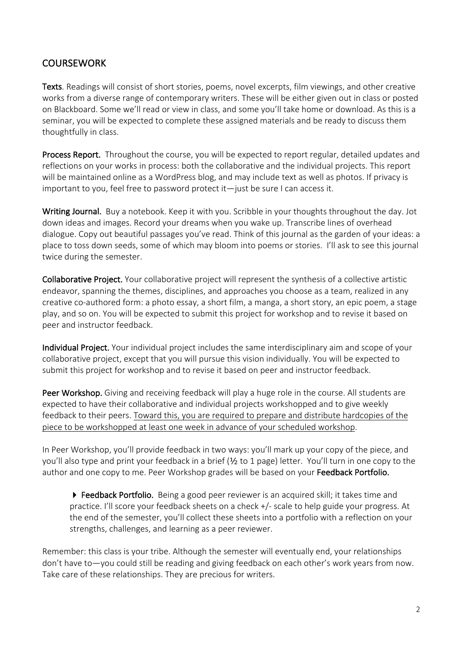## **COURSEWORK**

Texts. Readings will consist of short stories, poems, novel excerpts, film viewings, and other creative works from a diverse range of contemporary writers. These will be either given out in class or posted on Blackboard. Some we'll read or view in class, and some you'll take home or download. As this is a seminar, you will be expected to complete these assigned materials and be ready to discuss them thoughtfully in class.

Process Report. Throughout the course, you will be expected to report regular, detailed updates and reflections on your works in process: both the collaborative and the individual projects. This report will be maintained online as a WordPress blog, and may include text as well as photos. If privacy is important to you, feel free to password protect it—just be sure I can access it.

Writing Journal. Buy a notebook. Keep it with you. Scribble in your thoughts throughout the day. Jot down ideas and images. Record your dreams when you wake up. Transcribe lines of overhead dialogue. Copy out beautiful passages you've read. Think of this journal as the garden of your ideas: a place to toss down seeds, some of which may bloom into poems or stories. I'll ask to see this journal twice during the semester.

Collaborative Project. Your collaborative project will represent the synthesis of a collective artistic endeavor, spanning the themes, disciplines, and approaches you choose as a team, realized in any creative co-authored form: a photo essay, a short film, a manga, a short story, an epic poem, a stage play, and so on. You will be expected to submit this project for workshop and to revise it based on peer and instructor feedback.

Individual Project. Your individual project includes the same interdisciplinary aim and scope of your collaborative project, except that you will pursue this vision individually. You will be expected to submit this project for workshop and to revise it based on peer and instructor feedback.

Peer Workshop. Giving and receiving feedback will play a huge role in the course. All students are expected to have their collaborative and individual projects workshopped and to give weekly feedback to their peers. Toward this, you are required to prepare and distribute hardcopies of the piece to be workshopped at least one week in advance of your scheduled workshop.

In Peer Workshop, you'll provide feedback in two ways: you'll mark up your copy of the piece, and you'll also type and print your feedback in a brief (½ to 1 page) letter. You'll turn in one copy to the author and one copy to me. Peer Workshop grades will be based on your Feedback Portfolio.

▶ Feedback Portfolio. Being a good peer reviewer is an acquired skill; it takes time and practice. I'll score your feedback sheets on a check +/- scale to help guide your progress. At the end of the semester, you'll collect these sheets into a portfolio with a reflection on your strengths, challenges, and learning as a peer reviewer.

Remember: this class is your tribe. Although the semester will eventually end, your relationships don't have to—you could still be reading and giving feedback on each other's work years from now. Take care of these relationships. They are precious for writers.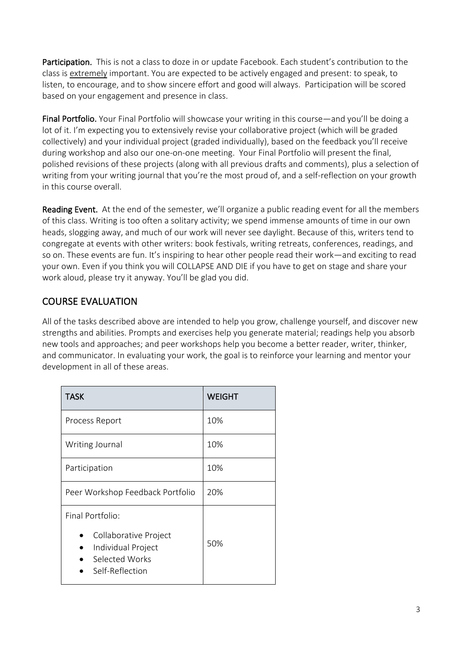Participation. This is not a class to doze in or update Facebook. Each student's contribution to the class is extremely important. You are expected to be actively engaged and present: to speak, to listen, to encourage, and to show sincere effort and good will always. Participation will be scored based on your engagement and presence in class.

Final Portfolio. Your Final Portfolio will showcase your writing in this course—and you'll be doing a lot of it. I'm expecting you to extensively revise your collaborative project (which will be graded collectively) and your individual project (graded individually), based on the feedback you'll receive during workshop and also our one-on-one meeting. Your Final Portfolio will present the final, polished revisions of these projects (along with all previous drafts and comments), plus a selection of writing from your writing journal that you're the most proud of, and a self-reflection on your growth in this course overall.

Reading Event. At the end of the semester, we'll organize a public reading event for all the members of this class. Writing is too often a solitary activity; we spend immense amounts of time in our own heads, slogging away, and much of our work will never see daylight. Because of this, writers tend to congregate at events with other writers: book festivals, writing retreats, conferences, readings, and so on. These events are fun. It's inspiring to hear other people read their work—and exciting to read your own. Even if you think you will COLLAPSE AND DIE if you have to get on stage and share your work aloud, please try it anyway. You'll be glad you did.

## COURSE EVALUATION

All of the tasks described above are intended to help you grow, challenge yourself, and discover new strengths and abilities. Prompts and exercises help you generate material; readings help you absorb new tools and approaches; and peer workshops help you become a better reader, writer, thinker, and communicator. In evaluating your work, the goal is to reinforce your learning and mentor your development in all of these areas.

| <b>TASK</b>                                                                                          | <b>WEIGHT</b> |
|------------------------------------------------------------------------------------------------------|---------------|
| Process Report                                                                                       | 10%           |
| Writing Journal                                                                                      | 10%           |
| Participation                                                                                        | 10%           |
| Peer Workshop Feedback Portfolio                                                                     | 20%           |
| Final Portfolio:<br>Collaborative Project<br>Individual Project<br>Selected Works<br>Self-Reflection | 50%           |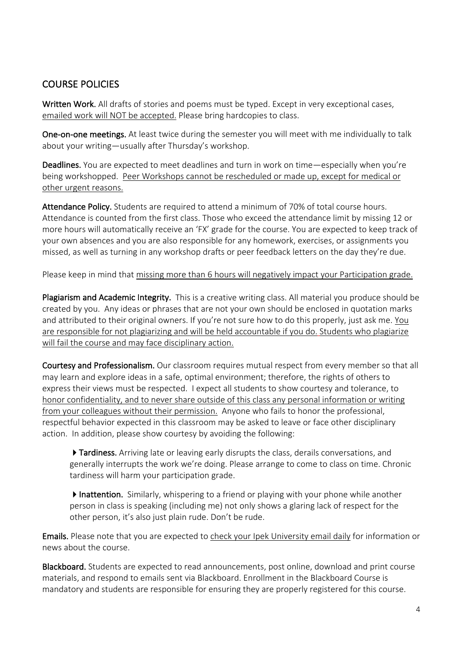## COURSE POLICIES

Written Work. All drafts of stories and poems must be typed. Except in very exceptional cases, emailed work will NOT be accepted. Please bring hardcopies to class.

One-on-one meetings. At least twice during the semester you will meet with me individually to talk about your writing—usually after Thursday's workshop.

Deadlines. You are expected to meet deadlines and turn in work on time—especially when you're being workshopped. Peer Workshops cannot be rescheduled or made up, except for medical or other urgent reasons.

Attendance Policy. Students are required to attend a minimum of 70% of total course hours. Attendance is counted from the first class. Those who exceed the attendance limit by missing 12 or more hours will automatically receive an 'FX' grade for the course. You are expected to keep track of your own absences and you are also responsible for any homework, exercises, or assignments you missed, as well as turning in any workshop drafts or peer feedback letters on the day they're due.

Please keep in mind that missing more than 6 hours will negatively impact your Participation grade.

Plagiarism and Academic Integrity. This is a creative writing class. All material you produce should be created by you. Any ideas or phrases that are not your own should be enclosed in quotation marks and attributed to their original owners. If you're not sure how to do this properly, just ask me. You are responsible for not plagiarizing and will be held accountable if you do. Students who plagiarize will fail the course and may face disciplinary action.

Courtesy and Professionalism. Our classroom requires mutual respect from every member so that all may learn and explore ideas in a safe, optimal environment; therefore, the rights of others to express their views must be respected. I expect all students to show courtesy and tolerance, to honor confidentiality, and to never share outside of this class any personal information or writing from your colleagues without their permission. Anyone who fails to honor the professional, respectful behavior expected in this classroom may be asked to leave or face other disciplinary action. In addition, please show courtesy by avoiding the following:

 $\triangleright$  Tardiness. Arriving late or leaving early disrupts the class, derails conversations, and generally interrupts the work we're doing. Please arrange to come to class on time. Chronic tardiness will harm your participation grade.

Inattention. Similarly, whispering to a friend or playing with your phone while another person in class is speaking (including me) not only shows a glaring lack of respect for the other person, it's also just plain rude. Don't be rude.

Emails. Please note that you are expected to check your Ipek University email daily for information or news about the course.

Blackboard. Students are expected to read announcements, post online, download and print course materials, and respond to emails sent via Blackboard. Enrollment in the Blackboard Course is mandatory and students are responsible for ensuring they are properly registered for this course.